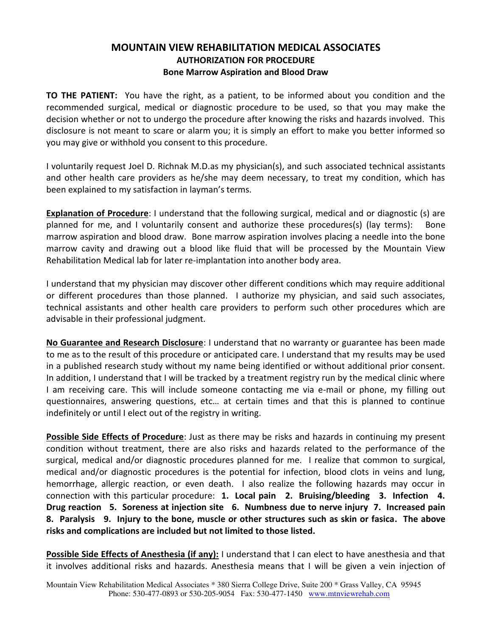## **MOUNTAIN VIEW REHABILITATION MEDICAL ASSOCIATES AUTHORIZATION FOR PROCEDURE Bone Marrow Aspiration and Blood Draw**

**TO THE PATIENT:** You have the right, as a patient, to be informed about you condition and the recommended surgical, medical or diagnostic procedure to be used, so that you may make the decision whether or not to undergo the procedure after knowing the risks and hazards involved. This disclosure is not meant to scare or alarm you; it is simply an effort to make you better informed so you may give or withhold you consent to this procedure.

I voluntarily request Joel D. Richnak M.D.as my physician(s), and such associated technical assistants and other health care providers as he/she may deem necessary, to treat my condition, which has been explained to my satisfaction in layman's terms.

**Explanation of Procedure**: I understand that the following surgical, medical and or diagnostic (s) are planned for me, and I voluntarily consent and authorize these procedures(s) (lay terms): Bone marrow aspiration and blood draw. Bone marrow aspiration involves placing a needle into the bone marrow cavity and drawing out a blood like fluid that will be processed by the Mountain View Rehabilitation Medical lab for later re-implantation into another body area.

I understand that my physician may discover other different conditions which may require additional or different procedures than those planned. I authorize my physician, and said such associates, technical assistants and other health care providers to perform such other procedures which are advisable in their professional judgment.

**No Guarantee and Research Disclosure**: I understand that no warranty or guarantee has been made to me as to the result of this procedure or anticipated care. I understand that my results may be used in a published research study without my name being identified or without additional prior consent. In addition, I understand that I will be tracked by a treatment registry run by the medical clinic where I am receiving care. This will include someone contacting me via e-mail or phone, my filling out questionnaires, answering questions, etc… at certain times and that this is planned to continue indefinitely or until I elect out of the registry in writing.

**Possible Side Effects of Procedure**: Just as there may be risks and hazards in continuing my present condition without treatment, there are also risks and hazards related to the performance of the surgical, medical and/or diagnostic procedures planned for me. I realize that common to surgical, medical and/or diagnostic procedures is the potential for infection, blood clots in veins and lung, hemorrhage, allergic reaction, or even death. I also realize the following hazards may occur in connection with this particular procedure: **1. Local pain 2. Bruising/bleeding 3. Infection 4. Drug reaction 5. Soreness at injection site 6. Numbness due to nerve injury 7. Increased pain 8. Paralysis 9. Injury to the bone, muscle or other structures such as skin or fasica. The above risks and complications are included but not limited to those listed.** 

**Possible Side Effects of Anesthesia (if any):** I understand that I can elect to have anesthesia and that it involves additional risks and hazards. Anesthesia means that I will be given a vein injection of